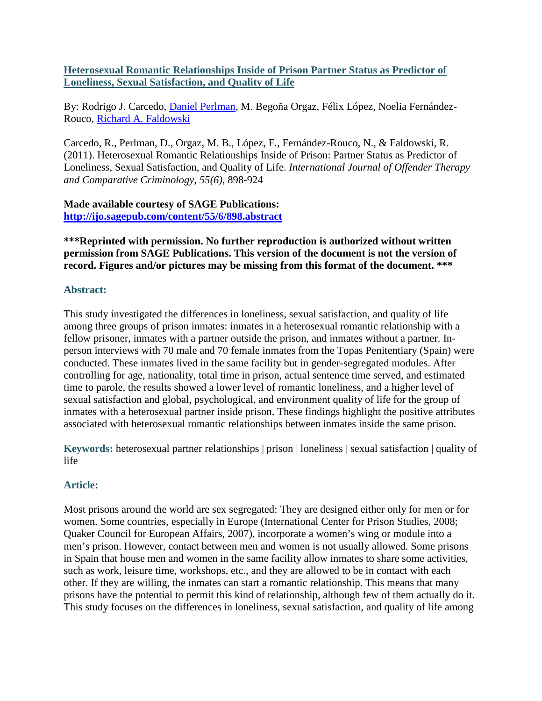**Heterosexual Romantic Relationships Inside of Prison Partner Status as Predictor of Loneliness, Sexual Satisfaction, and Quality of Life**

By: Rodrigo J. Carcedo, [Daniel Perlman,](http://libres.uncg.edu/ir/uncg/clist.aspx?id=1374) M. Begoña Orgaz, Félix López, Noelia Fernández-Rouco, [Richard A. Faldowski](http://libres.uncg.edu/ir/uncg/clist.aspx?id=4345)

Carcedo, R., Perlman, D., Orgaz, M. B., López, F., Fernández-Rouco, N., & Faldowski, R. (2011). Heterosexual Romantic Relationships Inside of Prison: Partner Status as Predictor of Loneliness, Sexual Satisfaction, and Quality of Life. *International Journal of Offender Therapy and Comparative Criminology, 55(6)*, 898-924

**Made available courtesy of SAGE Publications: <http://ijo.sagepub.com/content/55/6/898.abstract>**

**\*\*\*Reprinted with permission. No further reproduction is authorized without written permission from SAGE Publications. This version of the document is not the version of record. Figures and/or pictures may be missing from this format of the document. \*\*\***

## **Abstract:**

This study investigated the differences in loneliness, sexual satisfaction, and quality of life among three groups of prison inmates: inmates in a heterosexual romantic relationship with a fellow prisoner, inmates with a partner outside the prison, and inmates without a partner. Inperson interviews with 70 male and 70 female inmates from the Topas Penitentiary (Spain) were conducted. These inmates lived in the same facility but in gender-segregated modules. After controlling for age, nationality, total time in prison, actual sentence time served, and estimated time to parole, the results showed a lower level of romantic loneliness, and a higher level of sexual satisfaction and global, psychological, and environment quality of life for the group of inmates with a heterosexual partner inside prison. These findings highlight the positive attributes associated with heterosexual romantic relationships between inmates inside the same prison.

**Keywords:** heterosexual partner relationships | prison | loneliness | sexual satisfaction | quality of life

# **Article:**

Most prisons around the world are sex segregated: They are designed either only for men or for women. Some countries, especially in Europe (International Center for Prison Studies, 2008; Quaker Council for European Affairs, 2007), incorporate a women's wing or module into a men's prison. However, contact between men and women is not usually allowed. Some prisons in Spain that house men and women in the same facility allow inmates to share some activities, such as work, leisure time, workshops, etc., and they are allowed to be in contact with each other. If they are willing, the inmates can start a romantic relationship. This means that many prisons have the potential to permit this kind of relationship, although few of them actually do it. This study focuses on the differences in loneliness, sexual satisfaction, and quality of life among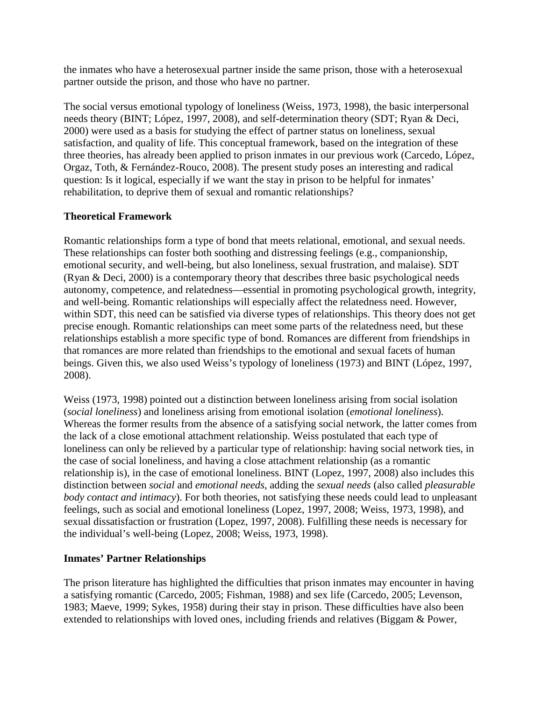the inmates who have a heterosexual partner inside the same prison, those with a heterosexual partner outside the prison, and those who have no partner.

The social versus emotional typology of loneliness (Weiss, 1973, 1998), the basic interpersonal needs theory (BINT; López, 1997, 2008), and self-determination theory (SDT; Ryan & Deci, 2000) were used as a basis for studying the effect of partner status on loneliness, sexual satisfaction, and quality of life. This conceptual framework, based on the integration of these three theories, has already been applied to prison inmates in our previous work (Carcedo, López, Orgaz, Toth, & Fernández-Rouco, 2008). The present study poses an interesting and radical question: Is it logical, especially if we want the stay in prison to be helpful for inmates' rehabilitation, to deprive them of sexual and romantic relationships?

## **Theoretical Framework**

Romantic relationships form a type of bond that meets relational, emotional, and sexual needs. These relationships can foster both soothing and distressing feelings (e.g., companionship, emotional security, and well-being, but also loneliness, sexual frustration, and malaise). SDT (Ryan & Deci, 2000) is a contemporary theory that describes three basic psychological needs autonomy, competence, and relatedness—essential in promoting psychological growth, integrity, and well-being. Romantic relationships will especially affect the relatedness need. However, within SDT, this need can be satisfied via diverse types of relationships. This theory does not get precise enough. Romantic relationships can meet some parts of the relatedness need, but these relationships establish a more specific type of bond. Romances are different from friendships in that romances are more related than friendships to the emotional and sexual facets of human beings. Given this, we also used Weiss's typology of loneliness (1973) and BINT (López, 1997, 2008).

Weiss (1973, 1998) pointed out a distinction between loneliness arising from social isolation (*social loneliness*) and loneliness arising from emotional isolation (*emotional loneliness*). Whereas the former results from the absence of a satisfying social network, the latter comes from the lack of a close emotional attachment relationship. Weiss postulated that each type of loneliness can only be relieved by a particular type of relationship: having social network ties, in the case of social loneliness, and having a close attachment relationship (as a romantic relationship is), in the case of emotional loneliness. BINT (Lopez, 1997, 2008) also includes this distinction between *social* and *emotional needs*, adding the *sexual needs* (also called *pleasurable body contact and intimacy*). For both theories, not satisfying these needs could lead to unpleasant feelings, such as social and emotional loneliness (Lopez, 1997, 2008; Weiss, 1973, 1998), and sexual dissatisfaction or frustration (Lopez, 1997, 2008). Fulfilling these needs is necessary for the individual's well-being (Lopez, 2008; Weiss, 1973, 1998).

## **Inmates' Partner Relationships**

The prison literature has highlighted the difficulties that prison inmates may encounter in having a satisfying romantic (Carcedo, 2005; Fishman, 1988) and sex life (Carcedo, 2005; Levenson, 1983; Maeve, 1999; Sykes, 1958) during their stay in prison. These difficulties have also been extended to relationships with loved ones, including friends and relatives (Biggam & Power,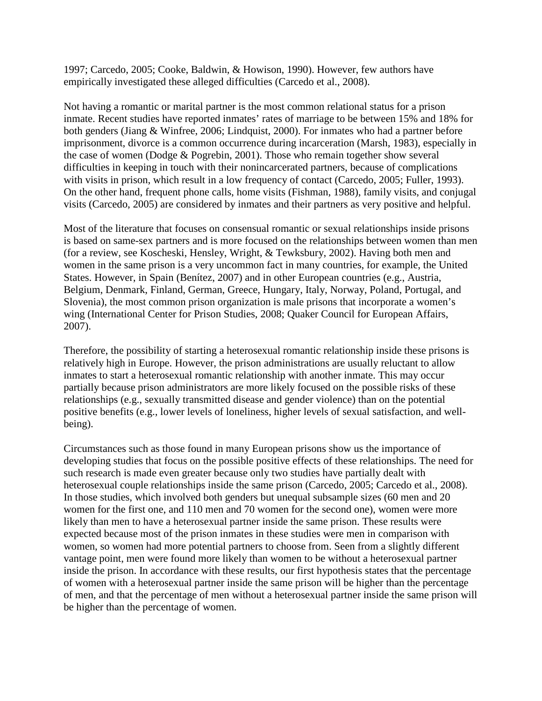1997; Carcedo, 2005; Cooke, Baldwin, & Howison, 1990). However, few authors have empirically investigated these alleged difficulties (Carcedo et al., 2008).

Not having a romantic or marital partner is the most common relational status for a prison inmate. Recent studies have reported inmates' rates of marriage to be between 15% and 18% for both genders (Jiang & Winfree, 2006; Lindquist, 2000). For inmates who had a partner before imprisonment, divorce is a common occurrence during incarceration (Marsh, 1983), especially in the case of women (Dodge & Pogrebin, 2001). Those who remain together show several difficulties in keeping in touch with their nonincarcerated partners, because of complications with visits in prison, which result in a low frequency of contact (Carcedo, 2005; Fuller, 1993). On the other hand, frequent phone calls, home visits (Fishman, 1988), family visits, and conjugal visits (Carcedo, 2005) are considered by inmates and their partners as very positive and helpful.

Most of the literature that focuses on consensual romantic or sexual relationships inside prisons is based on same-sex partners and is more focused on the relationships between women than men (for a review, see Koscheski, Hensley, Wright, & Tewksbury, 2002). Having both men and women in the same prison is a very uncommon fact in many countries, for example, the United States. However, in Spain (Benítez, 2007) and in other European countries (e.g., Austria, Belgium, Denmark, Finland, German, Greece, Hungary, Italy, Norway, Poland, Portugal, and Slovenia), the most common prison organization is male prisons that incorporate a women's wing (International Center for Prison Studies, 2008; Quaker Council for European Affairs, 2007).

Therefore, the possibility of starting a heterosexual romantic relationship inside these prisons is relatively high in Europe. However, the prison administrations are usually reluctant to allow inmates to start a heterosexual romantic relationship with another inmate. This may occur partially because prison administrators are more likely focused on the possible risks of these relationships (e.g., sexually transmitted disease and gender violence) than on the potential positive benefits (e.g., lower levels of loneliness, higher levels of sexual satisfaction, and wellbeing).

Circumstances such as those found in many European prisons show us the importance of developing studies that focus on the possible positive effects of these relationships. The need for such research is made even greater because only two studies have partially dealt with heterosexual couple relationships inside the same prison (Carcedo, 2005; Carcedo et al., 2008). In those studies, which involved both genders but unequal subsample sizes (60 men and 20 women for the first one, and 110 men and 70 women for the second one), women were more likely than men to have a heterosexual partner inside the same prison. These results were expected because most of the prison inmates in these studies were men in comparison with women, so women had more potential partners to choose from. Seen from a slightly different vantage point, men were found more likely than women to be without a heterosexual partner inside the prison. In accordance with these results, our first hypothesis states that the percentage of women with a heterosexual partner inside the same prison will be higher than the percentage of men, and that the percentage of men without a heterosexual partner inside the same prison will be higher than the percentage of women.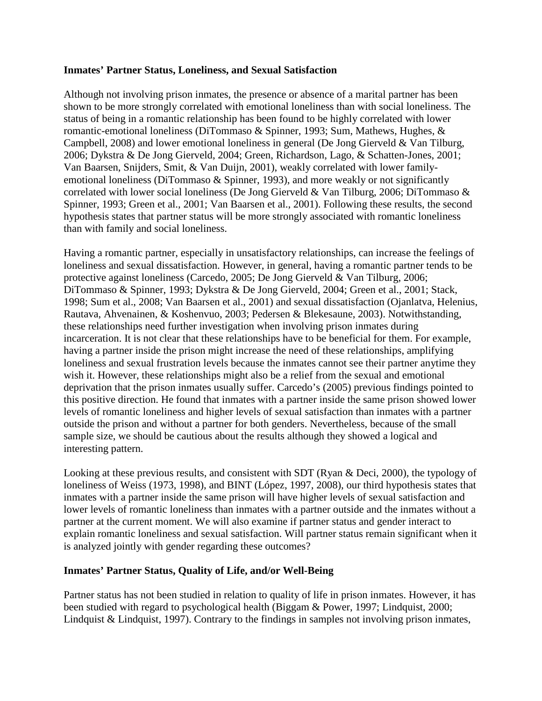#### **Inmates' Partner Status, Loneliness, and Sexual Satisfaction**

Although not involving prison inmates, the presence or absence of a marital partner has been shown to be more strongly correlated with emotional loneliness than with social loneliness. The status of being in a romantic relationship has been found to be highly correlated with lower romantic-emotional loneliness (DiTommaso & Spinner, 1993; Sum, Mathews, Hughes, & Campbell, 2008) and lower emotional loneliness in general (De Jong Gierveld & Van Tilburg, 2006; Dykstra & De Jong Gierveld, 2004; Green, Richardson, Lago, & Schatten-Jones, 2001; Van Baarsen, Snijders, Smit, & Van Duijn, 2001), weakly correlated with lower familyemotional loneliness (DiTommaso & Spinner, 1993), and more weakly or not significantly correlated with lower social loneliness (De Jong Gierveld & Van Tilburg, 2006; DiTommaso & Spinner, 1993; Green et al., 2001; Van Baarsen et al., 2001). Following these results, the second hypothesis states that partner status will be more strongly associated with romantic loneliness than with family and social loneliness.

Having a romantic partner, especially in unsatisfactory relationships, can increase the feelings of loneliness and sexual dissatisfaction. However, in general, having a romantic partner tends to be protective against loneliness (Carcedo, 2005; De Jong Gierveld & Van Tilburg, 2006; DiTommaso & Spinner, 1993; Dykstra & De Jong Gierveld, 2004; Green et al., 2001; Stack, 1998; Sum et al., 2008; Van Baarsen et al., 2001) and sexual dissatisfaction (Ojanlatva, Helenius, Rautava, Ahvenainen, & Koshenvuo, 2003; Pedersen & Blekesaune, 2003). Notwithstanding, these relationships need further investigation when involving prison inmates during incarceration. It is not clear that these relationships have to be beneficial for them. For example, having a partner inside the prison might increase the need of these relationships, amplifying loneliness and sexual frustration levels because the inmates cannot see their partner anytime they wish it. However, these relationships might also be a relief from the sexual and emotional deprivation that the prison inmates usually suffer. Carcedo's (2005) previous findings pointed to this positive direction. He found that inmates with a partner inside the same prison showed lower levels of romantic loneliness and higher levels of sexual satisfaction than inmates with a partner outside the prison and without a partner for both genders. Nevertheless, because of the small sample size, we should be cautious about the results although they showed a logical and interesting pattern.

Looking at these previous results, and consistent with SDT (Ryan & Deci, 2000), the typology of loneliness of Weiss (1973, 1998), and BINT (López, 1997, 2008), our third hypothesis states that inmates with a partner inside the same prison will have higher levels of sexual satisfaction and lower levels of romantic loneliness than inmates with a partner outside and the inmates without a partner at the current moment. We will also examine if partner status and gender interact to explain romantic loneliness and sexual satisfaction. Will partner status remain significant when it is analyzed jointly with gender regarding these outcomes?

#### **Inmates' Partner Status, Quality of Life, and/or Well-Being**

Partner status has not been studied in relation to quality of life in prison inmates. However, it has been studied with regard to psychological health (Biggam & Power, 1997; Lindquist, 2000; Lindquist & Lindquist, 1997). Contrary to the findings in samples not involving prison inmates,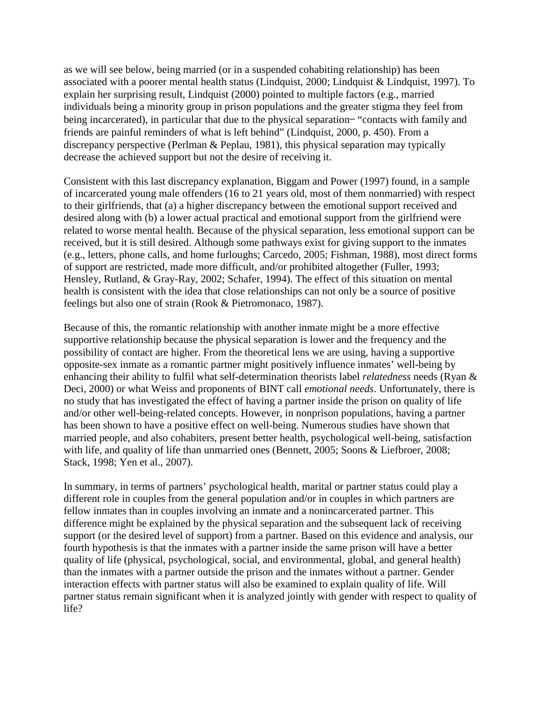as we will see below, being married (or in a suspended cohabiting relationship) has been associated with a poorer mental health status (Lindquist, 2000; Lindquist & Lindquist, 1997). To explain her surprising result, Lindquist (2000) pointed to multiple factors (e.g., married individuals being a minority group in prison populations and the greater stigma they feel from being incarcerated), in particular that due to the physical separation— "contacts with family and friends are painful reminders of what is left behind" (Lindquist, 2000, p. 450). From a discrepancy perspective (Perlman & Peplau, 1981), this physical separation may typically decrease the achieved support but not the desire of receiving it.

Consistent with this last discrepancy explanation, Biggam and Power (1997) found, in a sample of incarcerated young male offenders (16 to 21 years old, most of them nonmarried) with respect to their girlfriends, that (a) a higher discrepancy between the emotional support received and desired along with (b) a lower actual practical and emotional support from the girlfriend were related to worse mental health. Because of the physical separation, less emotional support can be received, but it is still desired. Although some pathways exist for giving support to the inmates (e.g., letters, phone calls, and home furloughs; Carcedo, 2005; Fishman, 1988), most direct forms of support are restricted, made more difficult, and/or prohibited altogether (Fuller, 1993; Hensley, Rutland, & Gray-Ray, 2002; Schafer, 1994). The effect of this situation on mental health is consistent with the idea that close relationships can not only be a source of positive feelings but also one of strain (Rook & Pietromonaco, 1987).

Because of this, the romantic relationship with another inmate might be a more effective supportive relationship because the physical separation is lower and the frequency and the possibility of contact are higher. From the theoretical lens we are using, having a supportive opposite-sex inmate as a romantic partner might positively influence inmates' well-being by enhancing their ability to fulfil what self-determination theorists label *relatedness* needs (Ryan & Deci, 2000) or what Weiss and proponents of BINT call *emotional needs*. Unfortunately, there is no study that has investigated the effect of having a partner inside the prison on quality of life and/or other well-being-related concepts. However, in nonprison populations, having a partner has been shown to have a positive effect on well-being. Numerous studies have shown that married people, and also cohabiters, present better health, psychological well-being, satisfaction with life, and quality of life than unmarried ones (Bennett, 2005; Soons & Liefbroer, 2008; Stack, 1998; Yen et al., 2007).

In summary, in terms of partners' psychological health, marital or partner status could play a different role in couples from the general population and/or in couples in which partners are fellow inmates than in couples involving an inmate and a nonincarcerated partner. This difference might be explained by the physical separation and the subsequent lack of receiving support (or the desired level of support) from a partner. Based on this evidence and analysis, our fourth hypothesis is that the inmates with a partner inside the same prison will have a better quality of life (physical, psychological, social, and environmental, global, and general health) than the inmates with a partner outside the prison and the inmates without a partner. Gender interaction effects with partner status will also be examined to explain quality of life. Will partner status remain significant when it is analyzed jointly with gender with respect to quality of life?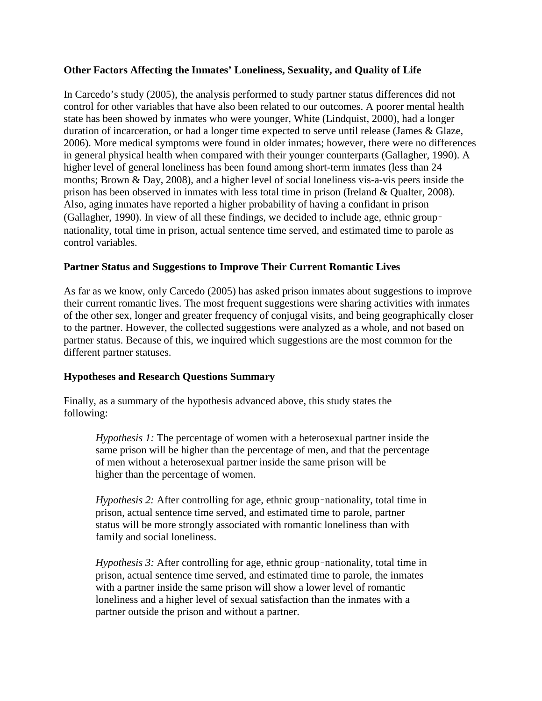#### **Other Factors Affecting the Inmates' Loneliness, Sexuality, and Quality of Life**

In Carcedo's study (2005), the analysis performed to study partner status differences did not control for other variables that have also been related to our outcomes. A poorer mental health state has been showed by inmates who were younger, White (Lindquist, 2000), had a longer duration of incarceration, or had a longer time expected to serve until release (James & Glaze, 2006). More medical symptoms were found in older inmates; however, there were no differences in general physical health when compared with their younger counterparts (Gallagher, 1990). A higher level of general loneliness has been found among short-term inmates (less than 24 months; Brown & Day, 2008), and a higher level of social loneliness vis-a-vis peers inside the prison has been observed in inmates with less total time in prison (Ireland & Qualter, 2008). Also, aging inmates have reported a higher probability of having a confidant in prison (Gallagher, 1990). In view of all these findings, we decided to include age, ethnic group– nationality, total time in prison, actual sentence time served, and estimated time to parole as control variables.

## **Partner Status and Suggestions to Improve Their Current Romantic Lives**

As far as we know, only Carcedo (2005) has asked prison inmates about suggestions to improve their current romantic lives. The most frequent suggestions were sharing activities with inmates of the other sex, longer and greater frequency of conjugal visits, and being geographically closer to the partner. However, the collected suggestions were analyzed as a whole, and not based on partner status. Because of this, we inquired which suggestions are the most common for the different partner statuses.

## **Hypotheses and Research Questions Summary**

Finally, as a summary of the hypothesis advanced above, this study states the following:

*Hypothesis 1:* The percentage of women with a heterosexual partner inside the same prison will be higher than the percentage of men, and that the percentage of men without a heterosexual partner inside the same prison will be higher than the percentage of women.

*Hypothesis 2:* After controlling for age, ethnic group–nationality, total time in prison, actual sentence time served, and estimated time to parole, partner status will be more strongly associated with romantic loneliness than with family and social loneliness.

*Hypothesis 3:* After controlling for age, ethnic group–nationality, total time in prison, actual sentence time served, and estimated time to parole, the inmates with a partner inside the same prison will show a lower level of romantic loneliness and a higher level of sexual satisfaction than the inmates with a partner outside the prison and without a partner.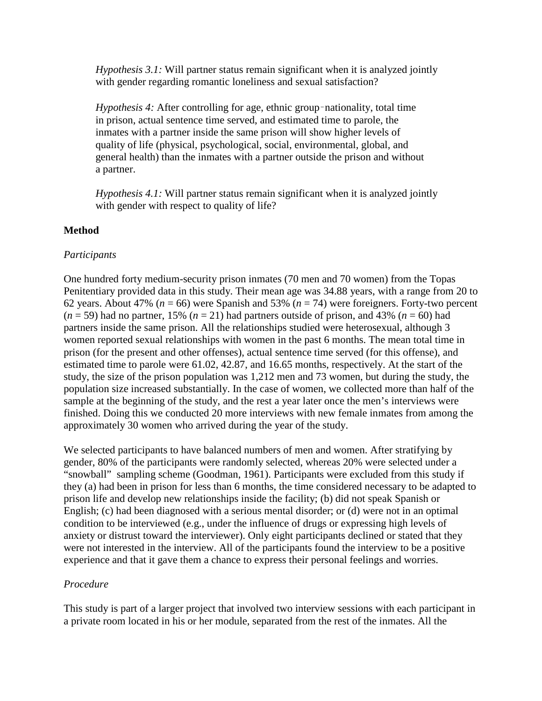*Hypothesis 3.1:* Will partner status remain significant when it is analyzed jointly with gender regarding romantic loneliness and sexual satisfaction?

*Hypothesis 4:* After controlling for age, ethnic group–nationality, total time in prison, actual sentence time served, and estimated time to parole, the inmates with a partner inside the same prison will show higher levels of quality of life (physical, psychological, social, environmental, global, and general health) than the inmates with a partner outside the prison and without a partner.

*Hypothesis 4.1:* Will partner status remain significant when it is analyzed jointly with gender with respect to quality of life?

### **Method**

#### *Participants*

One hundred forty medium-security prison inmates (70 men and 70 women) from the Topas Penitentiary provided data in this study. Their mean age was 34.88 years, with a range from 20 to 62 years. About 47% ( $n = 66$ ) were Spanish and 53% ( $n = 74$ ) were foreigners. Forty-two percent  $(n = 59)$  had no partner, 15%  $(n = 21)$  had partners outside of prison, and 43%  $(n = 60)$  had partners inside the same prison. All the relationships studied were heterosexual, although 3 women reported sexual relationships with women in the past 6 months. The mean total time in prison (for the present and other offenses), actual sentence time served (for this offense), and estimated time to parole were 61.02, 42.87, and 16.65 months, respectively. At the start of the study, the size of the prison population was 1,212 men and 73 women, but during the study, the population size increased substantially. In the case of women, we collected more than half of the sample at the beginning of the study, and the rest a year later once the men's interviews were finished. Doing this we conducted 20 more interviews with new female inmates from among the approximately 30 women who arrived during the year of the study.

We selected participants to have balanced numbers of men and women. After stratifying by gender, 80% of the participants were randomly selected, whereas 20% were selected under a "snowball" sampling scheme (Goodman, 1961). Participants were excluded from this study if they (a) had been in prison for less than 6 months, the time considered necessary to be adapted to prison life and develop new relationships inside the facility; (b) did not speak Spanish or English; (c) had been diagnosed with a serious mental disorder; or (d) were not in an optimal condition to be interviewed (e.g., under the influence of drugs or expressing high levels of anxiety or distrust toward the interviewer). Only eight participants declined or stated that they were not interested in the interview. All of the participants found the interview to be a positive experience and that it gave them a chance to express their personal feelings and worries.

#### *Procedure*

This study is part of a larger project that involved two interview sessions with each participant in a private room located in his or her module, separated from the rest of the inmates. All the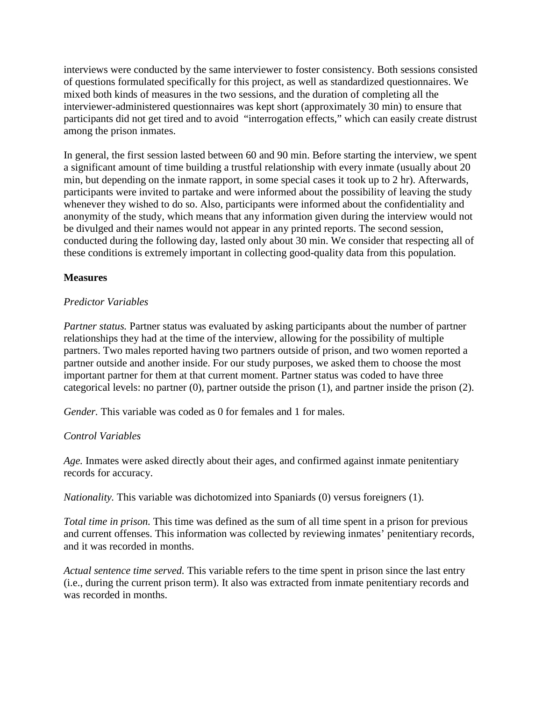interviews were conducted by the same interviewer to foster consistency. Both sessions consisted of questions formulated specifically for this project, as well as standardized questionnaires. We mixed both kinds of measures in the two sessions, and the duration of completing all the interviewer-administered questionnaires was kept short (approximately 30 min) to ensure that participants did not get tired and to avoid "interrogation effects," which can easily create distrust among the prison inmates.

In general, the first session lasted between 60 and 90 min. Before starting the interview, we spent a significant amount of time building a trustful relationship with every inmate (usually about 20 min, but depending on the inmate rapport, in some special cases it took up to 2 hr). Afterwards, participants were invited to partake and were informed about the possibility of leaving the study whenever they wished to do so. Also, participants were informed about the confidentiality and anonymity of the study, which means that any information given during the interview would not be divulged and their names would not appear in any printed reports. The second session, conducted during the following day, lasted only about 30 min. We consider that respecting all of these conditions is extremely important in collecting good-quality data from this population.

## **Measures**

## *Predictor Variables*

*Partner status.* Partner status was evaluated by asking participants about the number of partner relationships they had at the time of the interview, allowing for the possibility of multiple partners. Two males reported having two partners outside of prison, and two women reported a partner outside and another inside. For our study purposes, we asked them to choose the most important partner for them at that current moment. Partner status was coded to have three categorical levels: no partner (0), partner outside the prison (1), and partner inside the prison (2).

*Gender.* This variable was coded as 0 for females and 1 for males.

# *Control Variables*

*Age.* Inmates were asked directly about their ages, and confirmed against inmate penitentiary records for accuracy.

*Nationality.* This variable was dichotomized into Spaniards (0) versus foreigners (1).

*Total time in prison.* This time was defined as the sum of all time spent in a prison for previous and current offenses. This information was collected by reviewing inmates' penitentiary records, and it was recorded in months.

*Actual sentence time served.* This variable refers to the time spent in prison since the last entry (i.e., during the current prison term). It also was extracted from inmate penitentiary records and was recorded in months.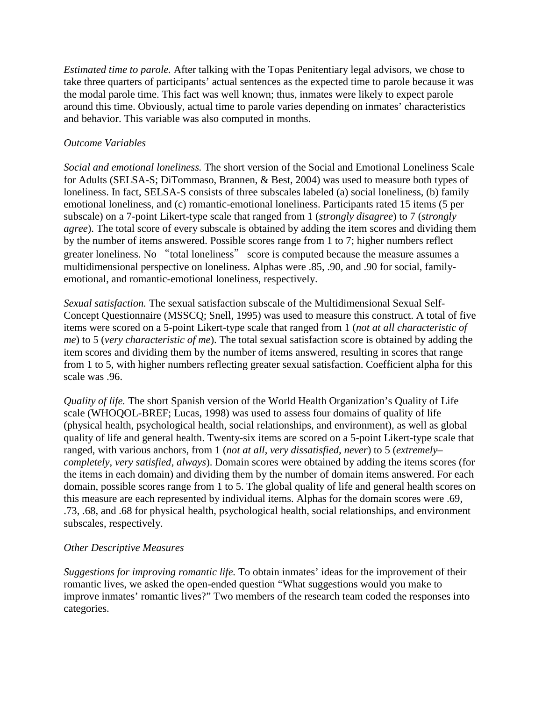*Estimated time to parole.* After talking with the Topas Penitentiary legal advisors, we chose to take three quarters of participants' actual sentences as the expected time to parole because it was the modal parole time. This fact was well known; thus, inmates were likely to expect parole around this time. Obviously, actual time to parole varies depending on inmates' characteristics and behavior. This variable was also computed in months.

### *Outcome Variables*

*Social and emotional loneliness.* The short version of the Social and Emotional Loneliness Scale for Adults (SELSA-S; DiTommaso, Brannen, & Best, 2004) was used to measure both types of loneliness. In fact, SELSA-S consists of three subscales labeled (a) social loneliness, (b) family emotional loneliness, and (c) romantic-emotional loneliness. Participants rated 15 items (5 per subscale) on a 7-point Likert-type scale that ranged from 1 (*strongly disagree*) to 7 (*strongly agree*). The total score of every subscale is obtained by adding the item scores and dividing them by the number of items answered. Possible scores range from 1 to 7; higher numbers reflect greater loneliness. No "total loneliness" score is computed because the measure assumes a multidimensional perspective on loneliness. Alphas were .85, .90, and .90 for social, familyemotional, and romantic-emotional loneliness, respectively.

*Sexual satisfaction.* The sexual satisfaction subscale of the Multidimensional Sexual Self-Concept Questionnaire (MSSCQ; Snell, 1995) was used to measure this construct. A total of five items were scored on a 5-point Likert-type scale that ranged from 1 (*not at all characteristic of me*) to 5 (*very characteristic of me*). The total sexual satisfaction score is obtained by adding the item scores and dividing them by the number of items answered, resulting in scores that range from 1 to 5, with higher numbers reflecting greater sexual satisfaction. Coefficient alpha for this scale was .96.

*Quality of life.* The short Spanish version of the World Health Organization's Quality of Life scale (WHOQOL-BREF; Lucas, 1998) was used to assess four domains of quality of life (physical health, psychological health, social relationships, and environment), as well as global quality of life and general health. Twenty-six items are scored on a 5-point Likert-type scale that ranged, with various anchors, from 1 (*not at all*, *very dissatisfied*, *never*) to 5 (*extremely– completely*, *very satisfied*, *always*). Domain scores were obtained by adding the items scores (for the items in each domain) and dividing them by the number of domain items answered. For each domain, possible scores range from 1 to 5. The global quality of life and general health scores on this measure are each represented by individual items. Alphas for the domain scores were .69, .73, .68, and .68 for physical health, psychological health, social relationships, and environment subscales, respectively.

#### *Other Descriptive Measures*

*Suggestions for improving romantic life.* To obtain inmates' ideas for the improvement of their romantic lives, we asked the open-ended question "What suggestions would you make to improve inmates' romantic lives?" Two members of the research team coded the responses into categories.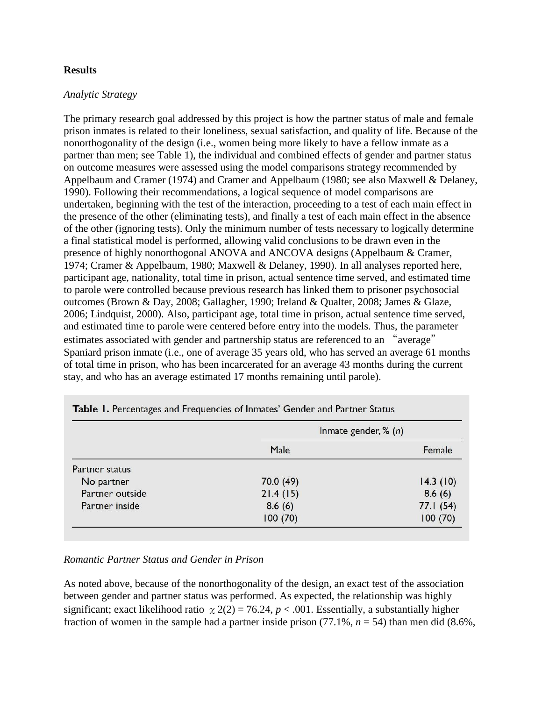### **Results**

#### *Analytic Strategy*

The primary research goal addressed by this project is how the partner status of male and female prison inmates is related to their loneliness, sexual satisfaction, and quality of life. Because of the nonorthogonality of the design (i.e., women being more likely to have a fellow inmate as a partner than men; see Table 1), the individual and combined effects of gender and partner status on outcome measures were assessed using the model comparisons strategy recommended by Appelbaum and Cramer (1974) and Cramer and Appelbaum (1980; see also Maxwell & Delaney, 1990). Following their recommendations, a logical sequence of model comparisons are undertaken, beginning with the test of the interaction, proceeding to a test of each main effect in the presence of the other (eliminating tests), and finally a test of each main effect in the absence of the other (ignoring tests). Only the minimum number of tests necessary to logically determine a final statistical model is performed, allowing valid conclusions to be drawn even in the presence of highly nonorthogonal ANOVA and ANCOVA designs (Appelbaum & Cramer, 1974; Cramer & Appelbaum, 1980; Maxwell & Delaney, 1990). In all analyses reported here, participant age, nationality, total time in prison, actual sentence time served, and estimated time to parole were controlled because previous research has linked them to prisoner psychosocial outcomes (Brown & Day, 2008; Gallagher, 1990; Ireland & Qualter, 2008; James & Glaze, 2006; Lindquist, 2000). Also, participant age, total time in prison, actual sentence time served, and estimated time to parole were centered before entry into the models. Thus, the parameter estimates associated with gender and partnership status are referenced to an "average" Spaniard prison inmate (i.e., one of average 35 years old, who has served an average 61 months of total time in prison, who has been incarcerated for an average 43 months during the current stay, and who has an average estimated 17 months remaining until parole).

|                 |          | Inmate gender, $% (n)$ |
|-----------------|----------|------------------------|
|                 | Male     | Female                 |
| Partner status  |          |                        |
| No partner      | 70.0(49) | 14.3(10)               |
| Partner outside | 21.4(15) | 8.6(6)                 |
| Partner inside  | 8.6(6)   | 77.1(54)               |
|                 | 100(70)  | 100(70)                |

Table I, Perceptages and Enequencies of Inmates' Gender and Partner Statu

#### *Romantic Partner Status and Gender in Prison*

As noted above, because of the nonorthogonality of the design, an exact test of the association between gender and partner status was performed. As expected, the relationship was highly significant; exact likelihood ratio  $\chi$  2(2) = 76.24, *p* < .001. Essentially, a substantially higher fraction of women in the sample had a partner inside prison  $(77.1\%, n = 54)$  than men did  $(8.6\%,$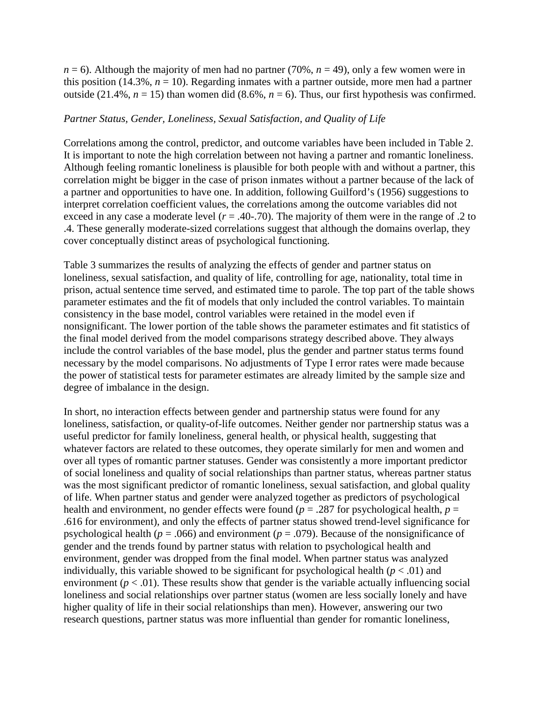$n = 6$ ). Although the majority of men had no partner (70%,  $n = 49$ ), only a few women were in this position (14.3%,  $n = 10$ ). Regarding inmates with a partner outside, more men had a partner outside (21.4%,  $n = 15$ ) than women did (8.6%,  $n = 6$ ). Thus, our first hypothesis was confirmed.

#### *Partner Status, Gender, Loneliness, Sexual Satisfaction, and Quality of Life*

Correlations among the control, predictor, and outcome variables have been included in Table 2. It is important to note the high correlation between not having a partner and romantic loneliness. Although feeling romantic loneliness is plausible for both people with and without a partner, this correlation might be bigger in the case of prison inmates without a partner because of the lack of a partner and opportunities to have one. In addition, following Guilford's (1956) suggestions to interpret correlation coefficient values, the correlations among the outcome variables did not exceed in any case a moderate level ( $r = .40$ -.70). The majority of them were in the range of .2 to .4. These generally moderate-sized correlations suggest that although the domains overlap, they cover conceptually distinct areas of psychological functioning.

Table 3 summarizes the results of analyzing the effects of gender and partner status on loneliness, sexual satisfaction, and quality of life, controlling for age, nationality, total time in prison, actual sentence time served, and estimated time to parole. The top part of the table shows parameter estimates and the fit of models that only included the control variables. To maintain consistency in the base model, control variables were retained in the model even if nonsignificant. The lower portion of the table shows the parameter estimates and fit statistics of the final model derived from the model comparisons strategy described above. They always include the control variables of the base model, plus the gender and partner status terms found necessary by the model comparisons. No adjustments of Type I error rates were made because the power of statistical tests for parameter estimates are already limited by the sample size and degree of imbalance in the design.

In short, no interaction effects between gender and partnership status were found for any loneliness, satisfaction, or quality-of-life outcomes. Neither gender nor partnership status was a useful predictor for family loneliness, general health, or physical health, suggesting that whatever factors are related to these outcomes, they operate similarly for men and women and over all types of romantic partner statuses. Gender was consistently a more important predictor of social loneliness and quality of social relationships than partner status, whereas partner status was the most significant predictor of romantic loneliness, sexual satisfaction, and global quality of life. When partner status and gender were analyzed together as predictors of psychological health and environment, no gender effects were found ( $p = .287$  for psychological health,  $p =$ .616 for environment), and only the effects of partner status showed trend-level significance for psychological health ( $p = .066$ ) and environment ( $p = .079$ ). Because of the nonsignificance of gender and the trends found by partner status with relation to psychological health and environment, gender was dropped from the final model. When partner status was analyzed individually, this variable showed to be significant for psychological health  $(p < .01)$  and environment ( $p < .01$ ). These results show that gender is the variable actually influencing social loneliness and social relationships over partner status (women are less socially lonely and have higher quality of life in their social relationships than men). However, answering our two research questions, partner status was more influential than gender for romantic loneliness,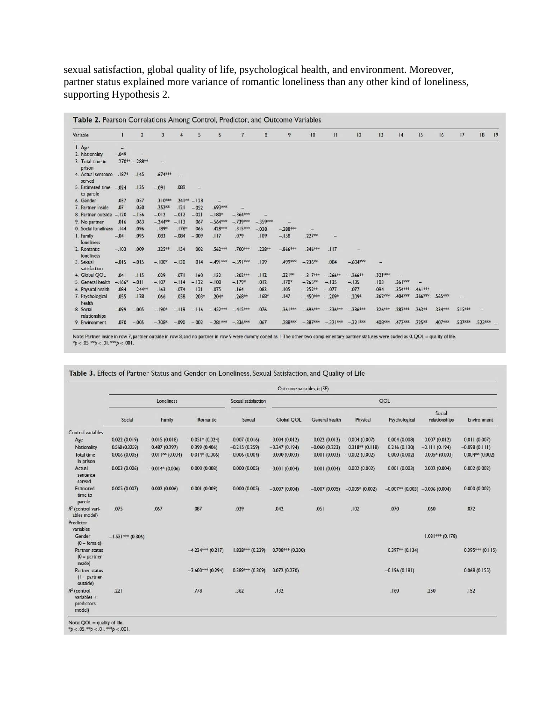sexual satisfaction, global quality of life, psychological health, and environment. Moreover, partner status explained more variance of romantic loneliness than any other kind of loneliness, supporting Hypothesis 2.

| Variable                              |               | $\overline{2}$   | $\overline{\mathbf{3}}$ | 4                        | 5                            | 6          | 7 <sup>5</sup> | 8          | 9          | 10          | $\mathbf{H}$ | 12         | 13      | 4       | 15        | 16      | 17      | 8<br> 9 |
|---------------------------------------|---------------|------------------|-------------------------|--------------------------|------------------------------|------------|----------------|------------|------------|-------------|--------------|------------|---------|---------|-----------|---------|---------|---------|
| I. Age                                | $\rightarrow$ |                  |                         |                          |                              |            |                |            |            |             |              |            |         |         |           |         |         |         |
| 2. Nationality                        | $-.049$       |                  |                         |                          |                              |            |                |            |            |             |              |            |         |         |           |         |         |         |
| 3. Total time in<br>prison            |               | $.270***-.288**$ |                         |                          |                              |            |                |            |            |             |              |            |         |         |           |         |         |         |
| 4. Actual sentence<br>served          |               | $.187* - .145$   | $.674***$               | $\overline{\phantom{0}}$ |                              |            |                |            |            |             |              |            |         |         |           |         |         |         |
| 5. Estimated time -. 024<br>to parole |               | .135             | $-.091$                 | .089                     | $\overbrace{\phantom{aaaa}}$ |            |                |            |            |             |              |            |         |         |           |         |         |         |
| 6. Gender                             | .037          | .057             | .310***                 |                          | $.241*** - .128$             |            |                |            |            |             |              |            |         |         |           |         |         |         |
| 7. Partner inside                     | .071          | .050             | .252**                  | .121                     | $-.052$                      | .693***    |                |            |            |             |              |            |         |         |           |         |         |         |
| 8. Partner outside                    | $-.120$       | $-.156$          | $-0.012$                | $-0.012$                 | $-.021$                      | $-.180*$   | $-.364****$    |            |            |             |              |            |         |         |           |         |         |         |
| 9. No partner                         | .016          | .063             | $-.244*$                | $-.113$                  | .067                         | $-564*$    | $-.739*$       | $-.359***$ |            |             |              |            |         |         |           |         |         |         |
| 10. Social loneliness                 | .144          | .096             | $.189*$                 | $.176*$                  | .065                         | .428***    | .315***        | $-.038$    | $-.288***$ |             |              |            |         |         |           |         |         |         |
| 11. Family<br><b>loneliness</b>       | $-.041$       | .095             | .083                    | $-.084$                  | $-.009$                      | .117       | .079           | .109       | $-.158$    | .227**      |              |            |         |         |           |         |         |         |
| 12. Romantic<br><b>loneliness</b>     | $-.103$       | .009             | .225 **                 | .154                     | .002                         | .562***    | .700***        | .228 **    | $-.866***$ | .346***     | .117         | -          |         |         |           |         |         |         |
| 13. Sexual<br>satisfaction            | $-.015$       | $-.015$          | $-.180*$                | $-.130$                  | .014                         | $-.491***$ | $-.591$ ***    | .129       | .499***    | $-.236***$  | .084         | $-.604*$   |         |         |           |         |         |         |
| 14. Global QOL                        | $-.041$       | $-.115$          | $-.029$                 | $-.071$                  | $-.160$                      | $-.132$    | $-.302****$    | .112       | .221**     | $-317$ ***  | $-.266***$   | $-.266***$ | .321*** |         |           |         |         |         |
| 15. General health                    | $-.166*$      | $-.011$          | $-.107$                 | $-.114$                  | $-.122$                      | $-.108$    | $-.179*$       | .012       | $.170*$    | $-.265***$  | $-.135$      | $-.135$    | .103    | .361*** |           |         |         |         |
| 16. Physical health                   | $-.084$       | $.244**$         | $-.163$                 | $-.074$                  | $-.121$                      | $-.075$    | $-.164$        | .083       | .105       | $-.252**$   | $-.077$      | $-.077$    | .094    | .354*** | .46   *** |         |         |         |
| 17. Psychological<br>health           | $-.055$       | .128             | $-.066$                 | $-.058$                  | $-.203*$                     | $-.204*$   | $-.268$ **     | $.168*$    | .147       | $-.450$ *** | $-.209*$     | $-.209*$   | .362*** | .404*** | .366***   | .565*** |         |         |
| 18. Social<br>relationships           | $-.099$       | $-.005$          | $-.190*$                | $-.119$                  | $-.116$                      | $-.452***$ | $-.415$ ***    | .076       | .361***    | $-.696***$  | $-.336***$   | $-.336*$   | .326*** | .282*** | $.263***$ | .334*** | .515*** |         |
| 19. Environment                       | .070          | $-.005$          | $-.208*$                | $-.090$                  | $-.002$                      | $-281***$  | $-.336***$     | .067       | .288***    | $-.387***$  | $-.321***$   | $-321***$  | .408*** | .472*** | .225**    | .407*** | .537*** | .523*** |

Note: Partner inside in row 7, partner outside in row 8, and no partner in row 9 were dummy coded as 1. The other two complementary partner statuses were coded as 0. QOL = quality of life.<br>\*p < .05. \*\*p < .01 . \*\*\*p < .001

|                                                               |                     |                    |                     |                     | Outcome variables, b (SE) |                 |                   |                                     |                         |                    |  |  |  |
|---------------------------------------------------------------|---------------------|--------------------|---------------------|---------------------|---------------------------|-----------------|-------------------|-------------------------------------|-------------------------|--------------------|--|--|--|
|                                                               |                     | Loneliness         |                     | Sexual satisfaction | QOL                       |                 |                   |                                     |                         |                    |  |  |  |
|                                                               | Social              | Family             | Romantic            | Sexual              | Global QOL                | General health  | Physical          | Psychological                       | Social<br>relationships | Environment        |  |  |  |
| Control variables                                             |                     |                    |                     |                     |                           |                 |                   |                                     |                         |                    |  |  |  |
| Age                                                           | 0.022(0.019)        | $-0.015(0.018)$    | $-0.051*(0.024)$    | 0.007(0.016)        | $-0.004(0.012)$           | $-0.022(0.013)$ | $-0.004(0.007)$   | $-0.004(0.008)$                     | $-0.007(0.012)$         | 0.011(0.007)       |  |  |  |
| Nationality                                                   | 0.560(0.3259)       | 0.487(0.297)       | 0.399(0.406)        | $-0.215(0.259)$     | $-0.247(0.194)$           | $-0.060(0.223)$ | $0.318**$ (0.118) | 0.216(0.130)                        | $-0.111(0.194)$         | $-0.098(0.111)$    |  |  |  |
| Total time<br>in prison                                       | 0.006(0.005)        | $0.011***$ (0.004) | $0.014*(0.006)$     | $-0.006(0.004)$     | 0.000(0.003)              | $-0.001(0.003)$ | $-0.002(0.002)$   | 0.000(0.002)                        | $-0.005*$ (0.003)       | $-0.004**$ (0.002) |  |  |  |
| Actual<br>sentence<br>served                                  | 0.003(0.006)        | $-0.014*(0.006)$   | 0.000(0.008)        | 0.000(0.005)        | $-0.001(0.004)$           | $-0.001(0.004)$ | 0.002(0.002)      | 0.001(0.003)                        | 0.002(0.004)            | 0.002(0.002)       |  |  |  |
| Estimated<br>time to<br>parole                                | 0.005(0.007)        | 0.002(0.006)       | 0.001(0.009)        | 0.000(0.005)        | $-0.007(0.004)$           | $-0.007(0.005)$ | $-0.005*$ (0.002) | $-0.007**$ (0.003) $-0.006$ (0.004) |                         | 0.000(0.002)       |  |  |  |
| $R2$ (control vari-<br>ables model)                           | .075                | .067               | .087                | .039                | .042                      | .051            | .102              | .070                                | .060                    | .072               |  |  |  |
| Predictor<br>variables                                        |                     |                    |                     |                     |                           |                 |                   |                                     |                         |                    |  |  |  |
| Gender                                                        | $-1.531***$ (0.306) |                    |                     |                     |                           |                 |                   |                                     | $1.031***$ (0.178)      |                    |  |  |  |
| $(0 = female)$<br>Partner status<br>$(0 = partner$<br>inside) |                     |                    | $-4.234$ ** (0.217) | $1.828***$ (0.229)  | $0.708$ *** (0.200)       |                 |                   | $0.397**$ (0.134)                   |                         | $0.395***(0.115)$  |  |  |  |
| Partner status<br>$(1 = partner$<br>outside)                  |                     |                    | $-3.600***(0.294)$  | $0.389***$ (0.309)  | 0.072(0.270)              |                 |                   | $-0.196(0.181)$                     |                         | 0.068(0.155)       |  |  |  |
| $R^2$ (control<br>variables +<br>predictors<br>model)         | .221                |                    | .778                | .362                | .132                      |                 |                   | .160                                | .250                    | .152               |  |  |  |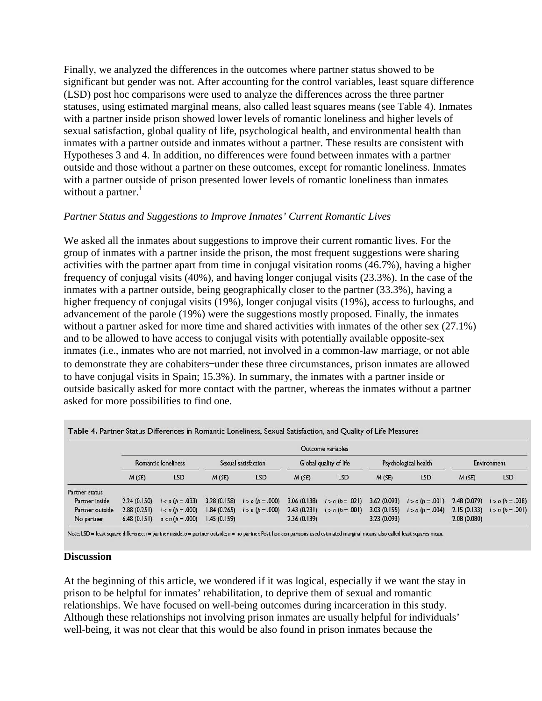Finally, we analyzed the differences in the outcomes where partner status showed to be significant but gender was not. After accounting for the control variables, least square difference (LSD) post hoc comparisons were used to analyze the differences across the three partner statuses, using estimated marginal means, also called least squares means (see Table 4). Inmates with a partner inside prison showed lower levels of romantic loneliness and higher levels of sexual satisfaction, global quality of life, psychological health, and environmental health than inmates with a partner outside and inmates without a partner. These results are consistent with Hypotheses 3 and 4. In addition, no differences were found between inmates with a partner outside and those without a partner on these outcomes, except for romantic loneliness. Inmates with a partner outside of prison presented lower levels of romantic loneliness than inmates without a partner. $<sup>1</sup>$ </sup>

#### *Partner Status and Suggestions to Improve Inmates' Current Romantic Lives*

We asked all the inmates about suggestions to improve their current romantic lives. For the group of inmates with a partner inside the prison, the most frequent suggestions were sharing activities with the partner apart from time in conjugal visitation rooms (46.7%), having a higher frequency of conjugal visits (40%), and having longer conjugal visits (23.3%). In the case of the inmates with a partner outside, being geographically closer to the partner (33.3%), having a higher frequency of conjugal visits (19%), longer conjugal visits (19%), access to furloughs, and advancement of the parole (19%) were the suggestions mostly proposed. Finally, the inmates without a partner asked for more time and shared activities with inmates of the other sex (27.1%) and to be allowed to have access to conjugal visits with potentially available opposite-sex inmates (i.e., inmates who are not married, not involved in a common-law marriage, or not able to demonstrate they are cohabiters—under these three circumstances, prison inmates are allowed to have conjugal visits in Spain; 15.3%). In summary, the inmates with a partner inside or outside basically asked for more contact with the partner, whereas the inmates without a partner asked for more possibilities to find one.

|                 | Outcome variables |                     |             |                     |                        |                    |             |                      |             |                    |  |  |  |
|-----------------|-------------------|---------------------|-------------|---------------------|------------------------|--------------------|-------------|----------------------|-------------|--------------------|--|--|--|
|                 |                   | Romantic loneliness |             | Sexual satisfaction | Global quality of life |                    |             | Psychological health | Environment |                    |  |  |  |
|                 | M(SE)             | <b>LSD</b>          | M(SE)       | <b>LSD</b>          | M(SE)                  | <b>LSD</b>         | M(SE)       | LSD                  | M(SE)       | <b>LSD</b>         |  |  |  |
| Partner status  |                   |                     |             |                     |                        |                    |             |                      |             |                    |  |  |  |
| Partner inside  | 2.24(0.150)       | $i < o (b = .033)$  | 3.28(0.158) | $i > o (b = .000)$  | 3.06(0.138)            | $i > o (b = .021)$ | 3.62(0.093) | $i > o (p = .001)$   | 2.48(0.079) | $i > o (p = .038)$ |  |  |  |
| Partner outside | 2.88(0.251)       | $i < n (b = .000)$  | 1.84(0.265) | $i > n (b = .000)$  | 2.43(0.231)            | $i > n (p = .001)$ | 3.03(0.155) | $i > n (p = .004)$   | 2.15(0.133) | $i > n (b = .001)$ |  |  |  |
| No partner      | 6.48(0.151)       | $o < n (b = .000)$  | 1.45(0.159) |                     | 2.36(0.139)            |                    | 3.23(0.093) |                      | 2.08(0.080) |                    |  |  |  |

Teble 4, Pentage Centus Differences in Remarkie Langlinges, Council Cetisfaction, and Quality of Life Mas

Note: LSD = least square difference; i = partner inside; o = partner outside; n = no partner. Post hoc comparisons used estimated marginal means, also called least squares mean.

#### **Discussion**

At the beginning of this article, we wondered if it was logical, especially if we want the stay in prison to be helpful for inmates' rehabilitation, to deprive them of sexual and romantic relationships. We have focused on well-being outcomes during incarceration in this study. Although these relationships not involving prison inmates are usually helpful for individuals' well-being, it was not clear that this would be also found in prison inmates because the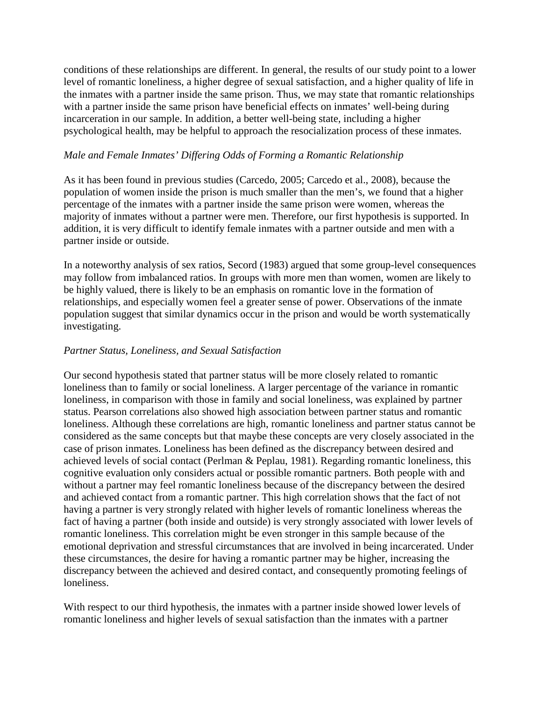conditions of these relationships are different. In general, the results of our study point to a lower level of romantic loneliness, a higher degree of sexual satisfaction, and a higher quality of life in the inmates with a partner inside the same prison. Thus, we may state that romantic relationships with a partner inside the same prison have beneficial effects on inmates' well-being during incarceration in our sample. In addition, a better well-being state, including a higher psychological health, may be helpful to approach the resocialization process of these inmates.

#### *Male and Female Inmates' Differing Odds of Forming a Romantic Relationship*

As it has been found in previous studies (Carcedo, 2005; Carcedo et al., 2008), because the population of women inside the prison is much smaller than the men's, we found that a higher percentage of the inmates with a partner inside the same prison were women, whereas the majority of inmates without a partner were men. Therefore, our first hypothesis is supported. In addition, it is very difficult to identify female inmates with a partner outside and men with a partner inside or outside.

In a noteworthy analysis of sex ratios, Secord (1983) argued that some group-level consequences may follow from imbalanced ratios. In groups with more men than women, women are likely to be highly valued, there is likely to be an emphasis on romantic love in the formation of relationships, and especially women feel a greater sense of power. Observations of the inmate population suggest that similar dynamics occur in the prison and would be worth systematically investigating.

#### *Partner Status, Loneliness, and Sexual Satisfaction*

Our second hypothesis stated that partner status will be more closely related to romantic loneliness than to family or social loneliness. A larger percentage of the variance in romantic loneliness, in comparison with those in family and social loneliness, was explained by partner status. Pearson correlations also showed high association between partner status and romantic loneliness. Although these correlations are high, romantic loneliness and partner status cannot be considered as the same concepts but that maybe these concepts are very closely associated in the case of prison inmates. Loneliness has been defined as the discrepancy between desired and achieved levels of social contact (Perlman & Peplau, 1981). Regarding romantic loneliness, this cognitive evaluation only considers actual or possible romantic partners. Both people with and without a partner may feel romantic loneliness because of the discrepancy between the desired and achieved contact from a romantic partner. This high correlation shows that the fact of not having a partner is very strongly related with higher levels of romantic loneliness whereas the fact of having a partner (both inside and outside) is very strongly associated with lower levels of romantic loneliness. This correlation might be even stronger in this sample because of the emotional deprivation and stressful circumstances that are involved in being incarcerated. Under these circumstances, the desire for having a romantic partner may be higher, increasing the discrepancy between the achieved and desired contact, and consequently promoting feelings of loneliness.

With respect to our third hypothesis, the inmates with a partner inside showed lower levels of romantic loneliness and higher levels of sexual satisfaction than the inmates with a partner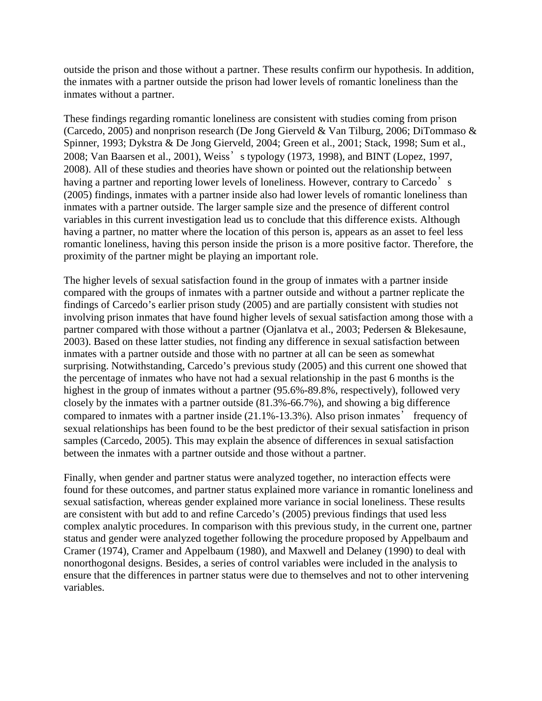outside the prison and those without a partner. These results confirm our hypothesis. In addition, the inmates with a partner outside the prison had lower levels of romantic loneliness than the inmates without a partner.

These findings regarding romantic loneliness are consistent with studies coming from prison (Carcedo, 2005) and nonprison research (De Jong Gierveld & Van Tilburg, 2006; DiTommaso & Spinner, 1993; Dykstra & De Jong Gierveld, 2004; Green et al., 2001; Stack, 1998; Sum et al., 2008; Van Baarsen et al., 2001), Weiss's typology (1973, 1998), and BINT (Lopez, 1997, 2008). All of these studies and theories have shown or pointed out the relationship between having a partner and reporting lower levels of loneliness. However, contrary to Carcedo's (2005) findings, inmates with a partner inside also had lower levels of romantic loneliness than inmates with a partner outside. The larger sample size and the presence of different control variables in this current investigation lead us to conclude that this difference exists. Although having a partner, no matter where the location of this person is, appears as an asset to feel less romantic loneliness, having this person inside the prison is a more positive factor. Therefore, the proximity of the partner might be playing an important role.

The higher levels of sexual satisfaction found in the group of inmates with a partner inside compared with the groups of inmates with a partner outside and without a partner replicate the findings of Carcedo's earlier prison study (2005) and are partially consistent with studies not involving prison inmates that have found higher levels of sexual satisfaction among those with a partner compared with those without a partner (Ojanlatva et al., 2003; Pedersen & Blekesaune, 2003). Based on these latter studies, not finding any difference in sexual satisfaction between inmates with a partner outside and those with no partner at all can be seen as somewhat surprising. Notwithstanding, Carcedo's previous study (2005) and this current one showed that the percentage of inmates who have not had a sexual relationship in the past 6 months is the highest in the group of inmates without a partner (95.6%-89.8%, respectively), followed very closely by the inmates with a partner outside (81.3%-66.7%), and showing a big difference compared to inmates with a partner inside (21.1%-13.3%). Also prison inmates' frequency of sexual relationships has been found to be the best predictor of their sexual satisfaction in prison samples (Carcedo, 2005). This may explain the absence of differences in sexual satisfaction between the inmates with a partner outside and those without a partner.

Finally, when gender and partner status were analyzed together, no interaction effects were found for these outcomes, and partner status explained more variance in romantic loneliness and sexual satisfaction, whereas gender explained more variance in social loneliness. These results are consistent with but add to and refine Carcedo's (2005) previous findings that used less complex analytic procedures. In comparison with this previous study, in the current one, partner status and gender were analyzed together following the procedure proposed by Appelbaum and Cramer (1974), Cramer and Appelbaum (1980), and Maxwell and Delaney (1990) to deal with nonorthogonal designs. Besides, a series of control variables were included in the analysis to ensure that the differences in partner status were due to themselves and not to other intervening variables.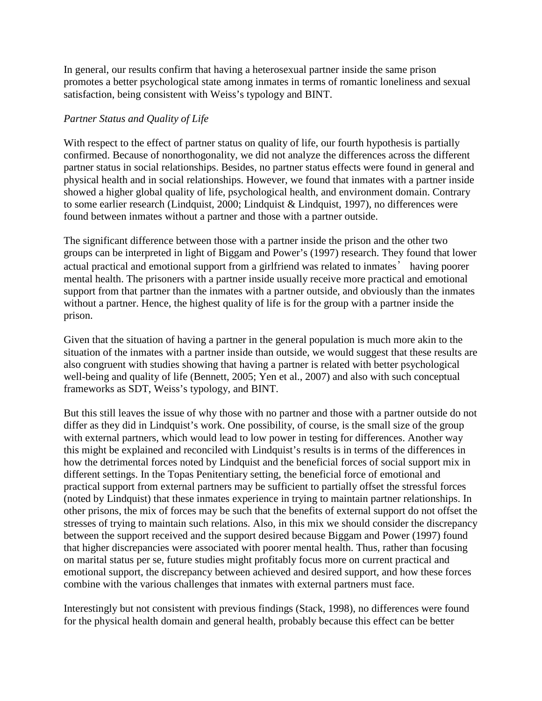In general, our results confirm that having a heterosexual partner inside the same prison promotes a better psychological state among inmates in terms of romantic loneliness and sexual satisfaction, being consistent with Weiss's typology and BINT.

### *Partner Status and Quality of Life*

With respect to the effect of partner status on quality of life, our fourth hypothesis is partially confirmed. Because of nonorthogonality, we did not analyze the differences across the different partner status in social relationships. Besides, no partner status effects were found in general and physical health and in social relationships. However, we found that inmates with a partner inside showed a higher global quality of life, psychological health, and environment domain. Contrary to some earlier research (Lindquist, 2000; Lindquist & Lindquist, 1997), no differences were found between inmates without a partner and those with a partner outside.

The significant difference between those with a partner inside the prison and the other two groups can be interpreted in light of Biggam and Power's (1997) research. They found that lower actual practical and emotional support from a girlfriend was related to inmates' having poorer mental health. The prisoners with a partner inside usually receive more practical and emotional support from that partner than the inmates with a partner outside, and obviously than the inmates without a partner. Hence, the highest quality of life is for the group with a partner inside the prison.

Given that the situation of having a partner in the general population is much more akin to the situation of the inmates with a partner inside than outside, we would suggest that these results are also congruent with studies showing that having a partner is related with better psychological well-being and quality of life (Bennett, 2005; Yen et al., 2007) and also with such conceptual frameworks as SDT, Weiss's typology, and BINT.

But this still leaves the issue of why those with no partner and those with a partner outside do not differ as they did in Lindquist's work. One possibility, of course, is the small size of the group with external partners, which would lead to low power in testing for differences. Another way this might be explained and reconciled with Lindquist's results is in terms of the differences in how the detrimental forces noted by Lindquist and the beneficial forces of social support mix in different settings. In the Topas Penitentiary setting, the beneficial force of emotional and practical support from external partners may be sufficient to partially offset the stressful forces (noted by Lindquist) that these inmates experience in trying to maintain partner relationships. In other prisons, the mix of forces may be such that the benefits of external support do not offset the stresses of trying to maintain such relations. Also, in this mix we should consider the discrepancy between the support received and the support desired because Biggam and Power (1997) found that higher discrepancies were associated with poorer mental health. Thus, rather than focusing on marital status per se, future studies might profitably focus more on current practical and emotional support, the discrepancy between achieved and desired support, and how these forces combine with the various challenges that inmates with external partners must face.

Interestingly but not consistent with previous findings (Stack, 1998), no differences were found for the physical health domain and general health, probably because this effect can be better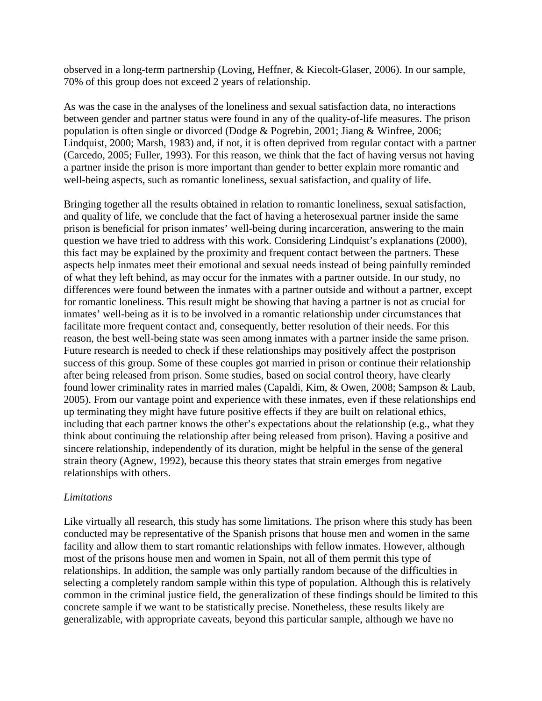observed in a long-term partnership (Loving, Heffner, & Kiecolt-Glaser, 2006). In our sample, 70% of this group does not exceed 2 years of relationship.

As was the case in the analyses of the loneliness and sexual satisfaction data, no interactions between gender and partner status were found in any of the quality-of-life measures. The prison population is often single or divorced (Dodge & Pogrebin, 2001; Jiang & Winfree, 2006; Lindquist, 2000; Marsh, 1983) and, if not, it is often deprived from regular contact with a partner (Carcedo, 2005; Fuller, 1993). For this reason, we think that the fact of having versus not having a partner inside the prison is more important than gender to better explain more romantic and well-being aspects, such as romantic loneliness, sexual satisfaction, and quality of life.

Bringing together all the results obtained in relation to romantic loneliness, sexual satisfaction, and quality of life, we conclude that the fact of having a heterosexual partner inside the same prison is beneficial for prison inmates' well-being during incarceration, answering to the main question we have tried to address with this work. Considering Lindquist's explanations (2000), this fact may be explained by the proximity and frequent contact between the partners. These aspects help inmates meet their emotional and sexual needs instead of being painfully reminded of what they left behind, as may occur for the inmates with a partner outside. In our study, no differences were found between the inmates with a partner outside and without a partner, except for romantic loneliness. This result might be showing that having a partner is not as crucial for inmates' well-being as it is to be involved in a romantic relationship under circumstances that facilitate more frequent contact and, consequently, better resolution of their needs. For this reason, the best well-being state was seen among inmates with a partner inside the same prison. Future research is needed to check if these relationships may positively affect the postprison success of this group. Some of these couples got married in prison or continue their relationship after being released from prison. Some studies, based on social control theory, have clearly found lower criminality rates in married males (Capaldi, Kim, & Owen, 2008; Sampson & Laub, 2005). From our vantage point and experience with these inmates, even if these relationships end up terminating they might have future positive effects if they are built on relational ethics, including that each partner knows the other's expectations about the relationship (e.g., what they think about continuing the relationship after being released from prison). Having a positive and sincere relationship, independently of its duration, might be helpful in the sense of the general strain theory (Agnew, 1992), because this theory states that strain emerges from negative relationships with others.

#### *Limitations*

Like virtually all research, this study has some limitations. The prison where this study has been conducted may be representative of the Spanish prisons that house men and women in the same facility and allow them to start romantic relationships with fellow inmates. However, although most of the prisons house men and women in Spain, not all of them permit this type of relationships. In addition, the sample was only partially random because of the difficulties in selecting a completely random sample within this type of population. Although this is relatively common in the criminal justice field, the generalization of these findings should be limited to this concrete sample if we want to be statistically precise. Nonetheless, these results likely are generalizable, with appropriate caveats, beyond this particular sample, although we have no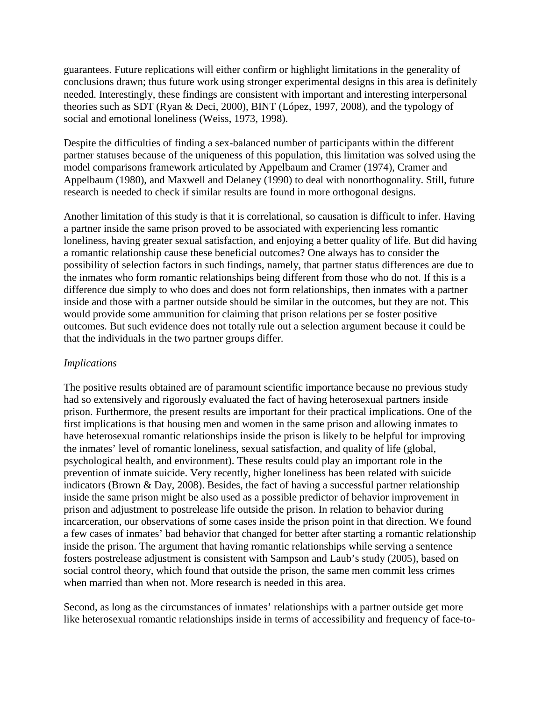guarantees. Future replications will either confirm or highlight limitations in the generality of conclusions drawn; thus future work using stronger experimental designs in this area is definitely needed. Interestingly, these findings are consistent with important and interesting interpersonal theories such as SDT (Ryan & Deci, 2000), BINT (López, 1997, 2008), and the typology of social and emotional loneliness (Weiss, 1973, 1998).

Despite the difficulties of finding a sex-balanced number of participants within the different partner statuses because of the uniqueness of this population, this limitation was solved using the model comparisons framework articulated by Appelbaum and Cramer (1974), Cramer and Appelbaum (1980), and Maxwell and Delaney (1990) to deal with nonorthogonality. Still, future research is needed to check if similar results are found in more orthogonal designs.

Another limitation of this study is that it is correlational, so causation is difficult to infer. Having a partner inside the same prison proved to be associated with experiencing less romantic loneliness, having greater sexual satisfaction, and enjoying a better quality of life. But did having a romantic relationship cause these beneficial outcomes? One always has to consider the possibility of selection factors in such findings, namely, that partner status differences are due to the inmates who form romantic relationships being different from those who do not. If this is a difference due simply to who does and does not form relationships, then inmates with a partner inside and those with a partner outside should be similar in the outcomes, but they are not. This would provide some ammunition for claiming that prison relations per se foster positive outcomes. But such evidence does not totally rule out a selection argument because it could be that the individuals in the two partner groups differ.

#### *Implications*

The positive results obtained are of paramount scientific importance because no previous study had so extensively and rigorously evaluated the fact of having heterosexual partners inside prison. Furthermore, the present results are important for their practical implications. One of the first implications is that housing men and women in the same prison and allowing inmates to have heterosexual romantic relationships inside the prison is likely to be helpful for improving the inmates' level of romantic loneliness, sexual satisfaction, and quality of life (global, psychological health, and environment). These results could play an important role in the prevention of inmate suicide. Very recently, higher loneliness has been related with suicide indicators (Brown & Day, 2008). Besides, the fact of having a successful partner relationship inside the same prison might be also used as a possible predictor of behavior improvement in prison and adjustment to postrelease life outside the prison. In relation to behavior during incarceration, our observations of some cases inside the prison point in that direction. We found a few cases of inmates' bad behavior that changed for better after starting a romantic relationship inside the prison. The argument that having romantic relationships while serving a sentence fosters postrelease adjustment is consistent with Sampson and Laub's study (2005), based on social control theory, which found that outside the prison, the same men commit less crimes when married than when not. More research is needed in this area.

Second, as long as the circumstances of inmates' relationships with a partner outside get more like heterosexual romantic relationships inside in terms of accessibility and frequency of face-to-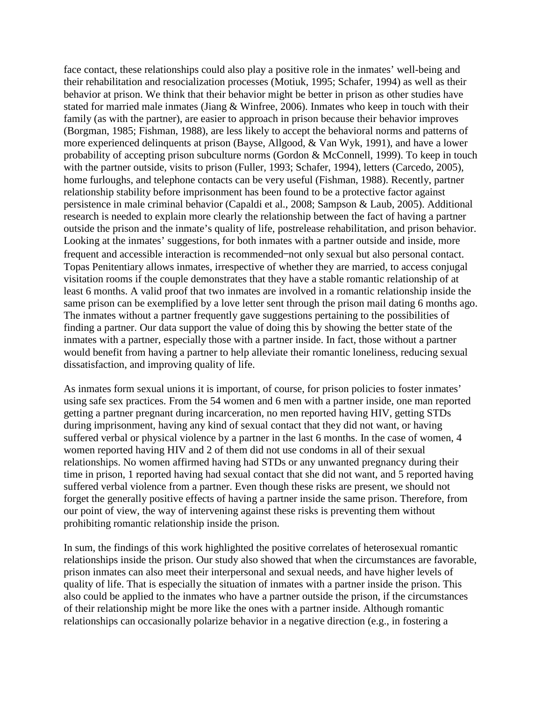face contact, these relationships could also play a positive role in the inmates' well-being and their rehabilitation and resocialization processes (Motiuk, 1995; Schafer, 1994) as well as their behavior at prison. We think that their behavior might be better in prison as other studies have stated for married male inmates (Jiang & Winfree, 2006). Inmates who keep in touch with their family (as with the partner), are easier to approach in prison because their behavior improves (Borgman, 1985; Fishman, 1988), are less likely to accept the behavioral norms and patterns of more experienced delinquents at prison (Bayse, Allgood, & Van Wyk, 1991), and have a lower probability of accepting prison subculture norms (Gordon & McConnell, 1999). To keep in touch with the partner outside, visits to prison (Fuller, 1993; Schafer, 1994), letters (Carcedo, 2005), home furloughs, and telephone contacts can be very useful (Fishman, 1988). Recently, partner relationship stability before imprisonment has been found to be a protective factor against persistence in male criminal behavior (Capaldi et al., 2008; Sampson & Laub, 2005). Additional research is needed to explain more clearly the relationship between the fact of having a partner outside the prison and the inmate's quality of life, postrelease rehabilitation, and prison behavior. Looking at the inmates' suggestions, for both inmates with a partner outside and inside, more frequent and accessible interaction is recommended—not only sexual but also personal contact. Topas Penitentiary allows inmates, irrespective of whether they are married, to access conjugal visitation rooms if the couple demonstrates that they have a stable romantic relationship of at least 6 months. A valid proof that two inmates are involved in a romantic relationship inside the same prison can be exemplified by a love letter sent through the prison mail dating 6 months ago. The inmates without a partner frequently gave suggestions pertaining to the possibilities of finding a partner. Our data support the value of doing this by showing the better state of the inmates with a partner, especially those with a partner inside. In fact, those without a partner would benefit from having a partner to help alleviate their romantic loneliness, reducing sexual dissatisfaction, and improving quality of life.

As inmates form sexual unions it is important, of course, for prison policies to foster inmates' using safe sex practices. From the 54 women and 6 men with a partner inside, one man reported getting a partner pregnant during incarceration, no men reported having HIV, getting STDs during imprisonment, having any kind of sexual contact that they did not want, or having suffered verbal or physical violence by a partner in the last 6 months. In the case of women, 4 women reported having HIV and 2 of them did not use condoms in all of their sexual relationships. No women affirmed having had STDs or any unwanted pregnancy during their time in prison, 1 reported having had sexual contact that she did not want, and 5 reported having suffered verbal violence from a partner. Even though these risks are present, we should not forget the generally positive effects of having a partner inside the same prison. Therefore, from our point of view, the way of intervening against these risks is preventing them without prohibiting romantic relationship inside the prison.

In sum, the findings of this work highlighted the positive correlates of heterosexual romantic relationships inside the prison. Our study also showed that when the circumstances are favorable, prison inmates can also meet their interpersonal and sexual needs, and have higher levels of quality of life. That is especially the situation of inmates with a partner inside the prison. This also could be applied to the inmates who have a partner outside the prison, if the circumstances of their relationship might be more like the ones with a partner inside. Although romantic relationships can occasionally polarize behavior in a negative direction (e.g., in fostering a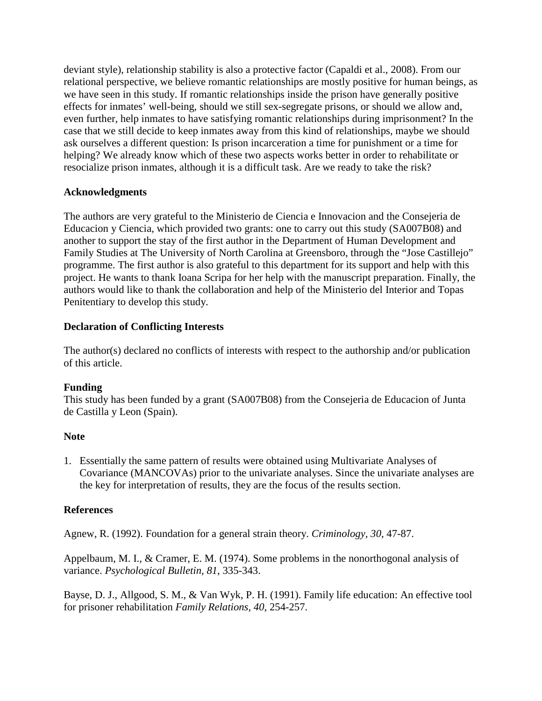deviant style), relationship stability is also a protective factor (Capaldi et al., 2008). From our relational perspective, we believe romantic relationships are mostly positive for human beings, as we have seen in this study. If romantic relationships inside the prison have generally positive effects for inmates' well-being, should we still sex-segregate prisons, or should we allow and, even further, help inmates to have satisfying romantic relationships during imprisonment? In the case that we still decide to keep inmates away from this kind of relationships, maybe we should ask ourselves a different question: Is prison incarceration a time for punishment or a time for helping? We already know which of these two aspects works better in order to rehabilitate or resocialize prison inmates, although it is a difficult task. Are we ready to take the risk?

## **Acknowledgments**

The authors are very grateful to the Ministerio de Ciencia e Innovacion and the Consejeria de Educacion y Ciencia, which provided two grants: one to carry out this study (SA007B08) and another to support the stay of the first author in the Department of Human Development and Family Studies at The University of North Carolina at Greensboro, through the "Jose Castillejo" programme. The first author is also grateful to this department for its support and help with this project. He wants to thank Ioana Scripa for her help with the manuscript preparation. Finally, the authors would like to thank the collaboration and help of the Ministerio del Interior and Topas Penitentiary to develop this study.

# **Declaration of Conflicting Interests**

The author(s) declared no conflicts of interests with respect to the authorship and/or publication of this article.

# **Funding**

This study has been funded by a grant (SA007B08) from the Consejeria de Educacion of Junta de Castilla y Leon (Spain).

# **Note**

1. Essentially the same pattern of results were obtained using Multivariate Analyses of Covariance (MANCOVAs) prior to the univariate analyses. Since the univariate analyses are the key for interpretation of results, they are the focus of the results section.

# **References**

Agnew, R. (1992). Foundation for a general strain theory. *Criminology, 30*, 47-87.

Appelbaum, M. I., & Cramer, E. M. (1974). Some problems in the nonorthogonal analysis of variance. *Psychological Bulletin, 81*, 335-343.

Bayse, D. J., Allgood, S. M., & Van Wyk, P. H. (1991). Family life education: An effective tool for prisoner rehabilitation *Family Relations, 40*, 254-257.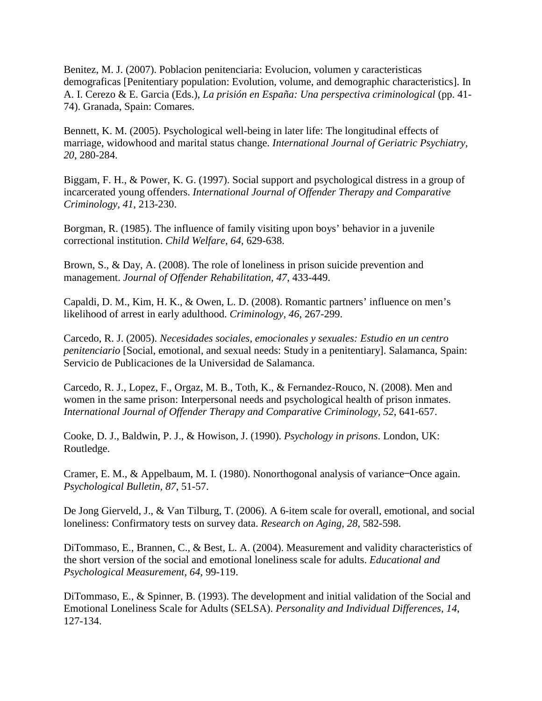Benitez, M. J. (2007). Poblacion penitenciaria: Evolucion, volumen y caracteristicas demograficas [Penitentiary population: Evolution, volume, and demographic characteristics]. In A. I. Cerezo & E. Garcia (Eds.), *La prisión en España: Una perspectiva criminological* (pp. 41- 74). Granada, Spain: Comares.

Bennett, K. M. (2005). Psychological well-being in later life: The longitudinal effects of marriage, widowhood and marital status change. *International Journal of Geriatric Psychiatry, 20*, 280-284.

Biggam, F. H., & Power, K. G. (1997). Social support and psychological distress in a group of incarcerated young offenders. *International Journal of Offender Therapy and Comparative Criminology, 41*, 213-230.

Borgman, R. (1985). The influence of family visiting upon boys' behavior in a juvenile correctional institution. *Child Welfare, 64*, 629-638.

Brown, S., & Day, A. (2008). The role of loneliness in prison suicide prevention and management. *Journal of Offender Rehabilitation, 47*, 433-449.

Capaldi, D. M., Kim, H. K., & Owen, L. D. (2008). Romantic partners' influence on men's likelihood of arrest in early adulthood. *Criminology, 46*, 267-299.

Carcedo, R. J. (2005). *Necesidades sociales, emocionales y sexuales: Estudio en un centro penitenciario* [Social, emotional, and sexual needs: Study in a penitentiary]. Salamanca, Spain: Servicio de Publicaciones de la Universidad de Salamanca.

Carcedo, R. J., Lopez, F., Orgaz, M. B., Toth, K., & Fernandez-Rouco, N. (2008). Men and women in the same prison: Interpersonal needs and psychological health of prison inmates. *International Journal of Offender Therapy and Comparative Criminology, 52*, 641-657.

Cooke, D. J., Baldwin, P. J., & Howison, J. (1990). *Psychology in prisons*. London, UK: Routledge.

Cramer, E. M., & Appelbaum, M. I. (1980). Nonorthogonal analysis of variance—Once again. *Psychological Bulletin, 87*, 51-57.

De Jong Gierveld, J., & Van Tilburg, T. (2006). A 6-item scale for overall, emotional, and social loneliness: Confirmatory tests on survey data. *Research on Aging, 28*, 582-598.

DiTommaso, E., Brannen, C., & Best, L. A. (2004). Measurement and validity characteristics of the short version of the social and emotional loneliness scale for adults. *Educational and Psychological Measurement, 64*, 99-119.

DiTommaso, E., & Spinner, B. (1993). The development and initial validation of the Social and Emotional Loneliness Scale for Adults (SELSA). *Personality and Individual Differences, 14*, 127-134.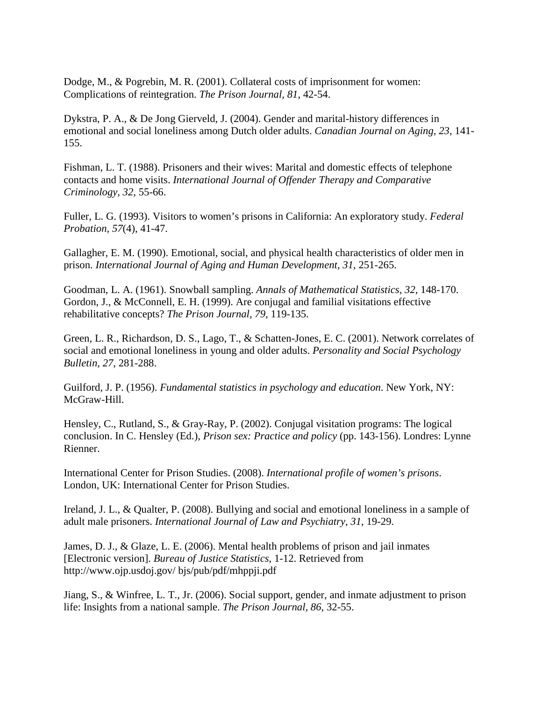Dodge, M., & Pogrebin, M. R. (2001). Collateral costs of imprisonment for women: Complications of reintegration. *The Prison Journal, 81*, 42-54.

Dykstra, P. A., & De Jong Gierveld, J. (2004). Gender and marital-history differences in emotional and social loneliness among Dutch older adults. *Canadian Journal on Aging, 23*, 141- 155.

Fishman, L. T. (1988). Prisoners and their wives: Marital and domestic effects of telephone contacts and home visits. *International Journal of Offender Therapy and Comparative Criminology, 32*, 55-66.

Fuller, L. G. (1993). Visitors to women's prisons in California: An exploratory study. *Federal Probation, 57*(4), 41-47.

Gallagher, E. M. (1990). Emotional, social, and physical health characteristics of older men in prison. *International Journal of Aging and Human Development, 31*, 251-265.

Goodman, L. A. (1961). Snowball sampling. *Annals of Mathematical Statistics, 32*, 148-170. Gordon, J., & McConnell, E. H. (1999). Are conjugal and familial visitations effective rehabilitative concepts? *The Prison Journal, 79*, 119-135.

Green, L. R., Richardson, D. S., Lago, T., & Schatten-Jones, E. C. (2001). Network correlates of social and emotional loneliness in young and older adults. *Personality and Social Psychology Bulletin, 27*, 281-288.

Guilford, J. P. (1956). *Fundamental statistics in psychology and education*. New York, NY: McGraw-Hill.

Hensley, C., Rutland, S., & Gray-Ray, P. (2002). Conjugal visitation programs: The logical conclusion. In C. Hensley (Ed.), *Prison sex: Practice and policy* (pp. 143-156). Londres: Lynne Rienner.

International Center for Prison Studies. (2008). *International profile of women's prisons*. London, UK: International Center for Prison Studies.

Ireland, J. L., & Qualter, P. (2008). Bullying and social and emotional loneliness in a sample of adult male prisoners. *International Journal of Law and Psychiatry, 31*, 19-29.

James, D. J., & Glaze, L. E. (2006). Mental health problems of prison and jail inmates [Electronic version]. *Bureau of Justice Statistics*, 1-12. Retrieved from http://www.ojp.usdoj.gov/ bjs/pub/pdf/mhppji.pdf

Jiang, S., & Winfree, L. T., Jr. (2006). Social support, gender, and inmate adjustment to prison life: Insights from a national sample. *The Prison Journal, 86*, 32-55.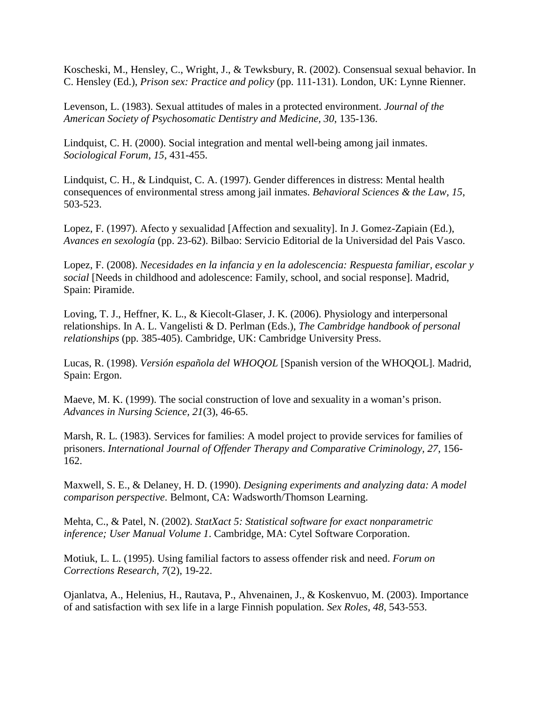Koscheski, M., Hensley, C., Wright, J., & Tewksbury, R. (2002). Consensual sexual behavior. In C. Hensley (Ed.), *Prison sex: Practice and policy* (pp. 111-131). London, UK: Lynne Rienner.

Levenson, L. (1983). Sexual attitudes of males in a protected environment. *Journal of the American Society of Psychosomatic Dentistry and Medicine, 30*, 135-136.

Lindquist, C. H. (2000). Social integration and mental well-being among jail inmates. *Sociological Forum, 15*, 431-455.

Lindquist, C. H., & Lindquist, C. A. (1997). Gender differences in distress: Mental health consequences of environmental stress among jail inmates. *Behavioral Sciences & the Law, 15*, 503-523.

Lopez, F. (1997). Afecto y sexualidad [Affection and sexuality]. In J. Gomez-Zapiain (Ed.), *Avances en sexología* (pp. 23-62). Bilbao: Servicio Editorial de la Universidad del Pais Vasco.

Lopez, F. (2008). *Necesidades en la infancia y en la adolescencia: Respuesta familiar, escolar y*  social [Needs in childhood and adolescence: Family, school, and social response]. Madrid, Spain: Piramide.

Loving, T. J., Heffner, K. L., & Kiecolt-Glaser, J. K. (2006). Physiology and interpersonal relationships. In A. L. Vangelisti & D. Perlman (Eds.), *The Cambridge handbook of personal relationships* (pp. 385-405). Cambridge, UK: Cambridge University Press.

Lucas, R. (1998). *Versión española del WHOQOL* [Spanish version of the WHOQOL]. Madrid, Spain: Ergon.

Maeve, M. K. (1999). The social construction of love and sexuality in a woman's prison. *Advances in Nursing Science, 21*(3), 46-65.

Marsh, R. L. (1983). Services for families: A model project to provide services for families of prisoners. *International Journal of Offender Therapy and Comparative Criminology, 27*, 156- 162.

Maxwell, S. E., & Delaney, H. D. (1990). *Designing experiments and analyzing data: A model comparison perspective*. Belmont, CA: Wadsworth/Thomson Learning.

Mehta, C., & Patel, N. (2002). *StatXact 5: Statistical software for exact nonparametric inference; User Manual Volume 1*. Cambridge, MA: Cytel Software Corporation.

Motiuk, L. L. (1995). Using familial factors to assess offender risk and need. *Forum on Corrections Research, 7*(2), 19-22.

Ojanlatva, A., Helenius, H., Rautava, P., Ahvenainen, J., & Koskenvuo, M. (2003). Importance of and satisfaction with sex life in a large Finnish population. *Sex Roles, 48*, 543-553.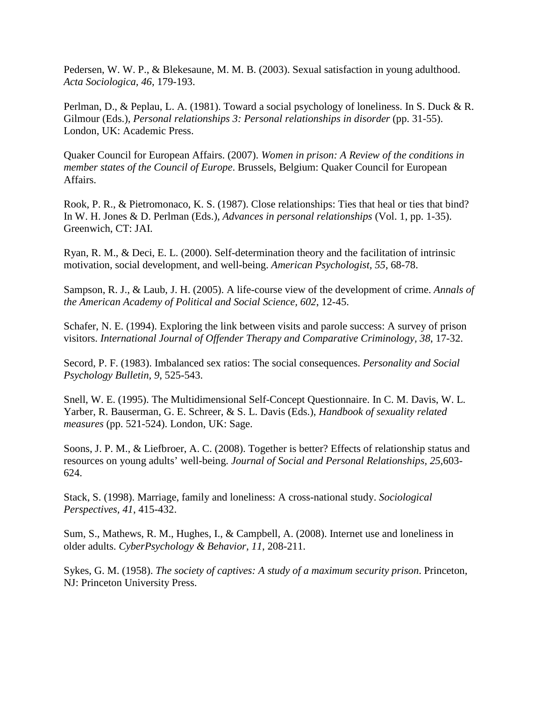Pedersen, W. W. P., & Blekesaune, M. M. B. (2003). Sexual satisfaction in young adulthood. *Acta Sociologica, 46*, 179-193.

Perlman, D., & Peplau, L. A. (1981). Toward a social psychology of loneliness. In S. Duck & R. Gilmour (Eds.), *Personal relationships 3: Personal relationships in disorder* (pp. 31-55). London, UK: Academic Press.

Quaker Council for European Affairs. (2007). *Women in prison: A Review of the conditions in member states of the Council of Europe*. Brussels, Belgium: Quaker Council for European Affairs.

Rook, P. R., & Pietromonaco, K. S. (1987). Close relationships: Ties that heal or ties that bind? In W. H. Jones & D. Perlman (Eds.), *Advances in personal relationships* (Vol. 1, pp. 1-35). Greenwich, CT: JAI.

Ryan, R. M., & Deci, E. L. (2000). Self-determination theory and the facilitation of intrinsic motivation, social development, and well-being. *American Psychologist, 55*, 68-78.

Sampson, R. J., & Laub, J. H. (2005). A life-course view of the development of crime. *Annals of the American Academy of Political and Social Science, 602*, 12-45.

Schafer, N. E. (1994). Exploring the link between visits and parole success: A survey of prison visitors. *International Journal of Offender Therapy and Comparative Criminology, 38*, 17-32.

Secord, P. F. (1983). Imbalanced sex ratios: The social consequences. *Personality and Social Psychology Bulletin, 9*, 525-543.

Snell, W. E. (1995). The Multidimensional Self-Concept Questionnaire. In C. M. Davis, W. L. Yarber, R. Bauserman, G. E. Schreer, & S. L. Davis (Eds.), *Handbook of sexuality related measures* (pp. 521-524). London, UK: Sage.

Soons, J. P. M., & Liefbroer, A. C. (2008). Together is better? Effects of relationship status and resources on young adults' well-being. *Journal of Social and Personal Relationships, 25*,603- 624.

Stack, S. (1998). Marriage, family and loneliness: A cross-national study. *Sociological Perspectives, 41*, 415-432.

Sum, S., Mathews, R. M., Hughes, I., & Campbell, A. (2008). Internet use and loneliness in older adults. *CyberPsychology & Behavior, 11*, 208-211.

Sykes, G. M. (1958). *The society of captives: A study of a maximum security prison*. Princeton, NJ: Princeton University Press.